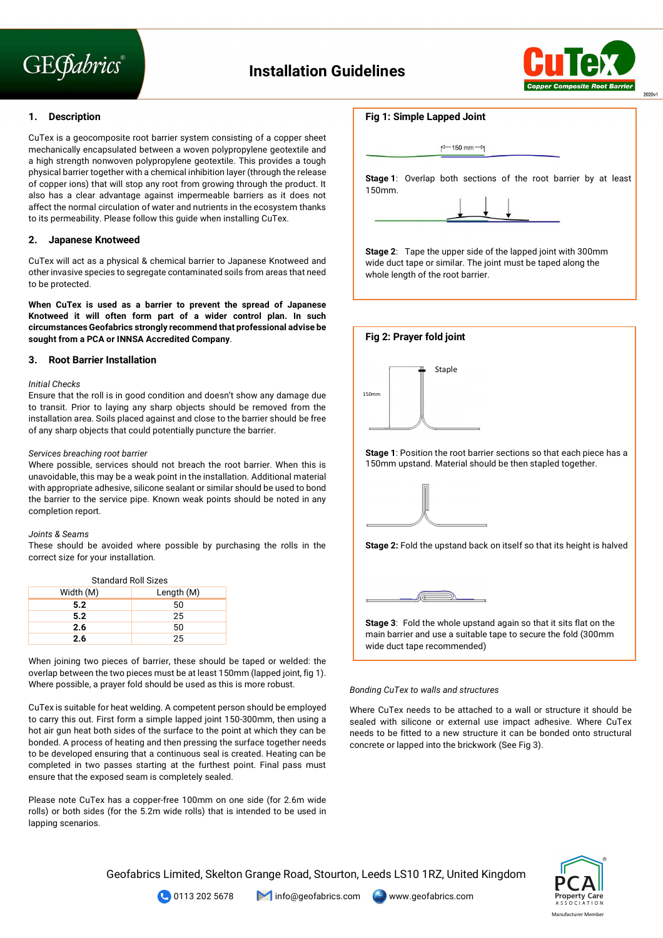# **GEGabrics**



# **1. Description**

CuTex is a geocomposite root barrier system consisting of a copper sheet mechanically encapsulated between a woven polypropylene geotextile and a high strength nonwoven polypropylene geotextile. This provides a tough physical barrier together with a chemical inhibition layer (through the release of copper ions) that will stop any root from growing through the product. It also has a clear advantage against impermeable barriers as it does not affect the normal circulation of water and nutrients in the ecosystem thanks to its permeability. Please follow this guide when installing CuTex.

# **2. Japanese Knotweed**

CuTex will act as a physical & chemical barrier to Japanese Knotweed and other invasive species to segregate contaminated soils from areas that need to be protected.

**When CuTex is used as a barrier to prevent the spread of Japanese Knotweed it will often form part of a wider control plan. In such circumstances Geofabrics strongly recommend that professional advise be sought from a PCA or INNSA Accredited Company**.

# **3. Root Barrier Installation**

# *Initial Checks*

Ensure that the roll is in good condition and doesn't show any damage due to transit. Prior to laying any sharp objects should be removed from the installation area. Soils placed against and close to the barrier should be free of any sharp objects that could potentially puncture the barrier.

#### *Services breaching root barrier*

Where possible, services should not breach the root barrier. When this is unavoidable, this may be a weak point in the installation. Additional material with appropriate adhesive, silicone sealant or similar should be used to bond the barrier to the service pipe. Known weak points should be noted in any completion report.

# *Joints & Seams*

These should be avoided where possible by purchasing the rolls in the correct size for your installation.

| <b>Standard Roll Sizes</b> |            |  |  |
|----------------------------|------------|--|--|
| Width (M)                  | Length (M) |  |  |
| 5.2                        | 50         |  |  |
| 5.2                        | 25         |  |  |
| 2.6                        | 50         |  |  |
| 2.6                        | 25         |  |  |

When joining two pieces of barrier, these should be taped or welded: the overlap between the two pieces must be at least 150mm (lapped joint, fig 1). Where possible, a prayer fold should be used as this is more robust.

CuTex is suitable for heat welding. A competent person should be employed to carry this out. First form a simple lapped joint 150-300mm, then using a hot air gun heat both sides of the surface to the point at which they can be bonded. A process of heating and then pressing the surface together needs to be developed ensuring that a continuous seal is created. Heating can be completed in two passes starting at the furthest point. Final pass must ensure that the exposed seam is completely sealed.

Please note CuTex has a copper-free 100mm on one side (for 2.6m wide rolls) or both sides (for the 5.2m wide rolls) that is intended to be used in lapping scenarios.

# **Fig 1: Simple Lapped Joint**

|           | p <sup>-150</sup> mm <sup>--1</sup>                                   |  |
|-----------|-----------------------------------------------------------------------|--|
| $150$ mm. | <b>Stage 1:</b> Overlap both sections of the root barrier by at least |  |
|           |                                                                       |  |

**Stage 2**: Tape the upper side of the lapped joint with 300mm wide duct tape or similar. The joint must be taped along the whole length of the root barrier.

Staple 150mm **Fig 2: Prayer fold joint Stage 1**: Position the root barrier sections so that each piece has a 150mm upstand. Material should be then stapled together. **Stage 2:** Fold the upstand back on itself so that its height is halved



**Stage 3**: Fold the whole upstand again so that it sits flat on the main barrier and use a suitable tape to secure the fold (300mm wide duct tape recommended)

# *Bonding CuTex to walls and structures*

Where CuTex needs to be attached to a wall or structure it should be sealed with silicone or external use impact adhesive. Where CuTex needs to be fitted to a new structure it can be bonded onto structural concrete or lapped into the brickwork (See Fig 3).

Geofabrics Limited, Skelton Grange Road, Stourton, Leeds LS10 1RZ, United Kingdom





**C** 0113 202 5678 **info@geofabrics.com** www.geofabrics.com